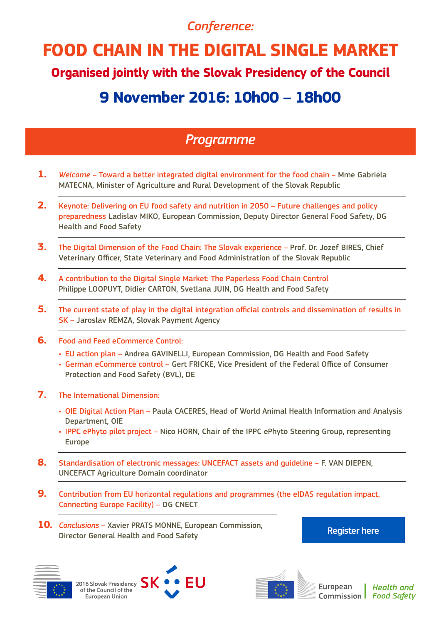#### *Conference:*

# **FOOD CHAIN IN THE DIGITAL SINGLE MARKET**

**Organised jointly with the Slovak Presidency of the Council**

## **9 November 2016: 10h00 – 18h00**

#### *Programme*

- **1.** *Welcome* Toward a better integrated digital environment for the food chain Mme Gabriela MATECNA, Minister of Agriculture and Rural Development of the Slovak Republic
- **2.** Keynote: Delivering on EU food safety and nutrition in 2050 Future challenges and policy preparedness Ladislav MIKO, European Commission, Deputy Director General Food Safety, DG Health and Food Safety
- **3.** The Digital Dimension of the Food Chain: The Slovak experience Prof. Dr. Jozef BIRES, Chief Veterinary Officer, State Veterinary and Food Administration of the Slovak Republic
- **4.** A contribution to the Digital Single Market: The Paperless Food Chain Control Philippe LOOPUYT, Didier CARTON, Svetlana JUIN, DG Health and Food Safety
- **5.** The current state of play in the digital integration official controls and dissemination of results in SK – Jaroslav REMZA, Slovak Payment Agency
- **6.** Food and Feed eCommerce Control:
	- EU action plan Andrea GAVINELLI, European Commission, DG Health and Food Safety
	- German eCommerce control Gert FRICKE, Vice President of the Federal Office of Consumer Protection and Food Safety (BVL), DE
- **7.** The International Dimension:
	- OIE Digital Action Plan Paula CACERES, Head of World Animal Health Information and Analysis Department, OIE
	- IPPC ePhyto pilot project Nico HORN, Chair of the IPPC ePhyto Steering Group, representing Europe
- **8.** Standardisation of electronic messages: UNCEFACT assets and guideline F. VAN DIEPEN, UNCEFACT Agriculture Domain coordinator
- **9.** Contribution from EU horizontal regulations and programmes (the eIDAS regulation impact, Connecting Europe Facility) – DG CNECT
- **10.** *Conclusions* Xavier PRATS MONNE, European Commission, Director General Health and Food Safety

[Register here](http://ec.europa.eu/dgs/health_food-safety/dyna/meetings/form.cfm?id=376)









*Health and Food Safety*